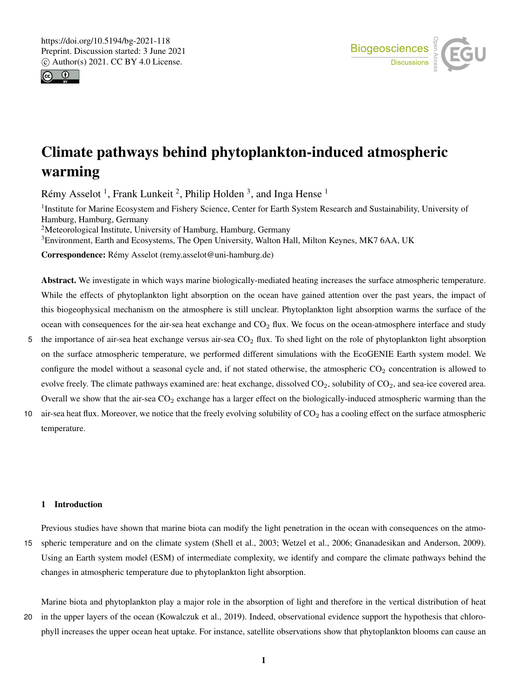



# Climate pathways behind phytoplankton-induced atmospheric warming

Rémy Asselot<sup>1</sup>, Frank Lunkeit<sup>2</sup>, Philip Holden<sup>3</sup>, and Inga Hense<sup>1</sup>

<sup>1</sup>Institute for Marine Ecosystem and Fishery Science, Center for Earth System Research and Sustainability, University of Hamburg, Hamburg, Germany

<sup>2</sup>Meteorological Institute, University of Hamburg, Hamburg, Germany

<sup>3</sup>Environment, Earth and Ecosystems, The Open University, Walton Hall, Milton Keynes, MK7 6AA, UK

Correspondence: Rémy Asselot (remy.asselot@uni-hamburg.de)

Abstract. We investigate in which ways marine biologically-mediated heating increases the surface atmospheric temperature. While the effects of phytoplankton light absorption on the ocean have gained attention over the past years, the impact of this biogeophysical mechanism on the atmosphere is still unclear. Phytoplankton light absorption warms the surface of the ocean with consequences for the air-sea heat exchange and CO<sub>2</sub> flux. We focus on the ocean-atmosphere interface and study

- 5 the importance of air-sea heat exchange versus air-sea  $CO<sub>2</sub>$  flux. To shed light on the role of phytoplankton light absorption on the surface atmospheric temperature, we performed different simulations with the EcoGENIE Earth system model. We configure the model without a seasonal cycle and, if not stated otherwise, the atmospheric  $CO<sub>2</sub>$  concentration is allowed to evolve freely. The climate pathways examined are: heat exchange, dissolved  $CO_2$ , solubility of  $CO_2$ , and sea-ice covered area. Overall we show that the air-sea  $CO<sub>2</sub>$  exchange has a larger effect on the biologically-induced atmospheric warming than the
- 10 air-sea heat flux. Moreover, we notice that the freely evolving solubility of  $CO<sub>2</sub>$  has a cooling effect on the surface atmospheric temperature.

# 1 Introduction

Previous studies have shown that marine biota can modify the light penetration in the ocean with consequences on the atmo-15 spheric temperature and on the climate system (Shell et al., 2003; Wetzel et al., 2006; Gnanadesikan and Anderson, 2009). Using an Earth system model (ESM) of intermediate complexity, we identify and compare the climate pathways behind the changes in atmospheric temperature due to phytoplankton light absorption.

Marine biota and phytoplankton play a major role in the absorption of light and therefore in the vertical distribution of heat

20 in the upper layers of the ocean (Kowalczuk et al., 2019). Indeed, observational evidence support the hypothesis that chlorophyll increases the upper ocean heat uptake. For instance, satellite observations show that phytoplankton blooms can cause an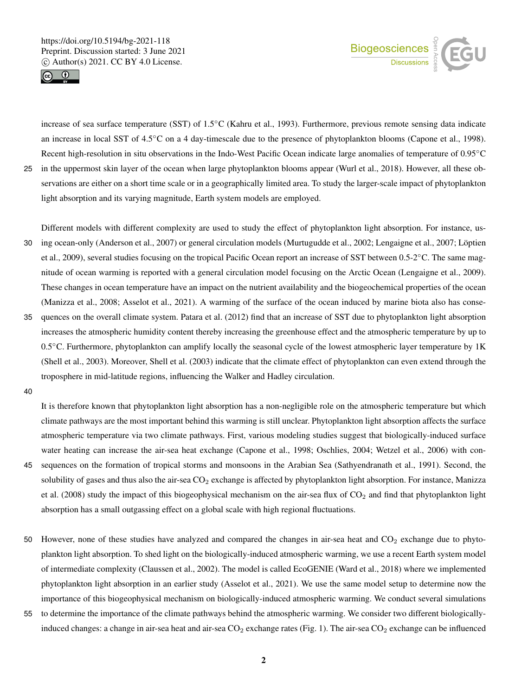



increase of sea surface temperature (SST) of 1.5◦C (Kahru et al., 1993). Furthermore, previous remote sensing data indicate an increase in local SST of 4.5◦C on a 4 day-timescale due to the presence of phytoplankton blooms (Capone et al., 1998). Recent high-resolution in situ observations in the Indo-West Pacific Ocean indicate large anomalies of temperature of 0.95°C 25 in the uppermost skin layer of the ocean when large phytoplankton blooms appear (Wurl et al., 2018). However, all these observations are either on a short time scale or in a geographically limited area. To study the larger-scale impact of phytoplankton light absorption and its varying magnitude, Earth system models are employed.

Different models with different complexity are used to study the effect of phytoplankton light absorption. For instance, us-30 ing ocean-only (Anderson et al., 2007) or general circulation models (Murtugudde et al., 2002; Lengaigne et al., 2007; Löptien et al., 2009), several studies focusing on the tropical Pacific Ocean report an increase of SST between 0.5-2℃. The same magnitude of ocean warming is reported with a general circulation model focusing on the Arctic Ocean (Lengaigne et al., 2009). These changes in ocean temperature have an impact on the nutrient availability and the biogeochemical properties of the ocean (Manizza et al., 2008; Asselot et al., 2021). A warming of the surface of the ocean induced by marine biota also has conse-35 quences on the overall climate system. Patara et al. (2012) find that an increase of SST due to phytoplankton light absorption increases the atmospheric humidity content thereby increasing the greenhouse effect and the atmospheric temperature by up to 0.5◦C. Furthermore, phytoplankton can amplify locally the seasonal cycle of the lowest atmospheric layer temperature by 1K

(Shell et al., 2003). Moreover, Shell et al. (2003) indicate that the climate effect of phytoplankton can even extend through the

troposphere in mid-latitude regions, influencing the Walker and Hadley circulation.

40

It is therefore known that phytoplankton light absorption has a non-negligible role on the atmospheric temperature but which climate pathways are the most important behind this warming is still unclear. Phytoplankton light absorption affects the surface atmospheric temperature via two climate pathways. First, various modeling studies suggest that biologically-induced surface water heating can increase the air-sea heat exchange (Capone et al., 1998; Oschlies, 2004; Wetzel et al., 2006) with con-45 sequences on the formation of tropical storms and monsoons in the Arabian Sea (Sathyendranath et al., 1991). Second, the solubility of gases and thus also the air-sea  $CO<sub>2</sub>$  exchange is affected by phytoplankton light absorption. For instance, Manizza et al. (2008) study the impact of this biogeophysical mechanism on the air-sea flux of  $CO<sub>2</sub>$  and find that phytoplankton light absorption has a small outgassing effect on a global scale with high regional fluctuations.

- 50 However, none of these studies have analyzed and compared the changes in air-sea heat and  $CO<sub>2</sub>$  exchange due to phytoplankton light absorption. To shed light on the biologically-induced atmospheric warming, we use a recent Earth system model of intermediate complexity (Claussen et al., 2002). The model is called EcoGENIE (Ward et al., 2018) where we implemented phytoplankton light absorption in an earlier study (Asselot et al., 2021). We use the same model setup to determine now the importance of this biogeophysical mechanism on biologically-induced atmospheric warming. We conduct several simulations
- 55 to determine the importance of the climate pathways behind the atmospheric warming. We consider two different biologicallyinduced changes: a change in air-sea heat and air-sea  $CO_2$  exchange rates (Fig. 1). The air-sea  $CO_2$  exchange can be influenced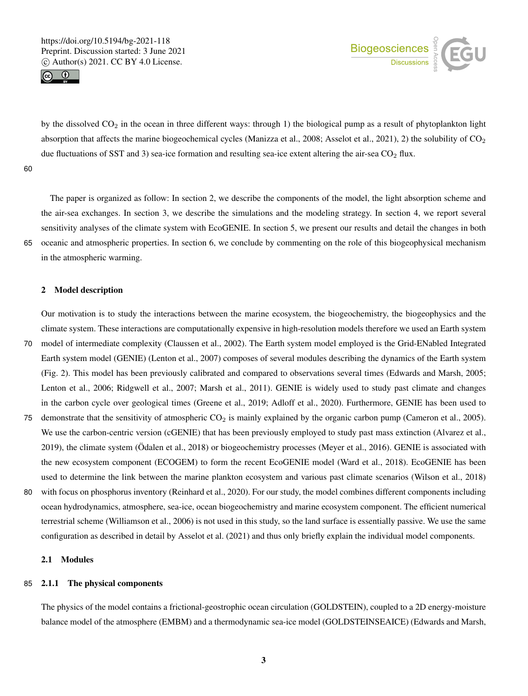



by the dissolved  $CO<sub>2</sub>$  in the ocean in three different ways: through 1) the biological pump as a result of phytoplankton light absorption that affects the marine biogeochemical cycles (Manizza et al., 2008; Asselot et al., 2021), 2) the solubility of  $CO<sub>2</sub>$ due fluctuations of SST and 3) sea-ice formation and resulting sea-ice extent altering the air-sea  $CO<sub>2</sub>$  flux.

60

The paper is organized as follow: In section 2, we describe the components of the model, the light absorption scheme and the air-sea exchanges. In section 3, we describe the simulations and the modeling strategy. In section 4, we report several sensitivity analyses of the climate system with EcoGENIE. In section 5, we present our results and detail the changes in both 65 oceanic and atmospheric properties. In section 6, we conclude by commenting on the role of this biogeophysical mechanism in the atmospheric warming.

## 2 Model description

Our motivation is to study the interactions between the marine ecosystem, the biogeochemistry, the biogeophysics and the climate system. These interactions are computationally expensive in high-resolution models therefore we used an Earth system

- 70 model of intermediate complexity (Claussen et al., 2002). The Earth system model employed is the Grid-ENabled Integrated Earth system model (GENIE) (Lenton et al., 2007) composes of several modules describing the dynamics of the Earth system (Fig. 2). This model has been previously calibrated and compared to observations several times (Edwards and Marsh, 2005; Lenton et al., 2006; Ridgwell et al., 2007; Marsh et al., 2011). GENIE is widely used to study past climate and changes in the carbon cycle over geological times (Greene et al., 2019; Adloff et al., 2020). Furthermore, GENIE has been used to
- 75 demonstrate that the sensitivity of atmospheric  $CO_2$  is mainly explained by the organic carbon pump (Cameron et al., 2005). We use the carbon-centric version (cGENIE) that has been previously employed to study past mass extinction (Alvarez et al., 2019), the climate system (Ödalen et al., 2018) or biogeochemistry processes (Meyer et al., 2016). GENIE is associated with the new ecosystem component (ECOGEM) to form the recent EcoGENIE model (Ward et al., 2018). EcoGENIE has been used to determine the link between the marine plankton ecosystem and various past climate scenarios (Wilson et al., 2018)
- 80 with focus on phosphorus inventory (Reinhard et al., 2020). For our study, the model combines different components including ocean hydrodynamics, atmosphere, sea-ice, ocean biogeochemistry and marine ecosystem component. The efficient numerical terrestrial scheme (Williamson et al., 2006) is not used in this study, so the land surface is essentially passive. We use the same configuration as described in detail by Asselot et al. (2021) and thus only briefly explain the individual model components.

# 2.1 Modules

# 85 2.1.1 The physical components

The physics of the model contains a frictional-geostrophic ocean circulation (GOLDSTEIN), coupled to a 2D energy-moisture balance model of the atmosphere (EMBM) and a thermodynamic sea-ice model (GOLDSTEINSEAICE) (Edwards and Marsh,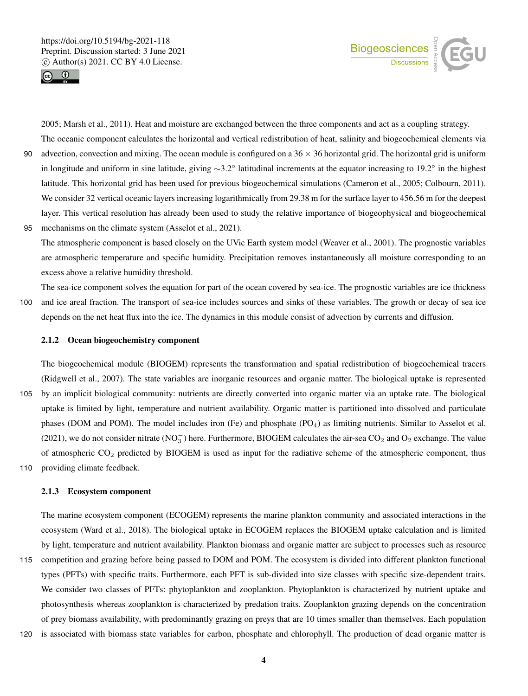



2005; Marsh et al., 2011). Heat and moisture are exchanged between the three components and act as a coupling strategy. The oceanic component calculates the horizontal and vertical redistribution of heat, salinity and biogeochemical elements via

- 90 advection, convection and mixing. The ocean module is configured on a  $36 \times 36$  horizontal grid. The horizontal grid is uniform in longitude and uniform in sine latitude, giving ∼3.2◦ latitudinal increments at the equator increasing to 19.2◦ in the highest latitude. This horizontal grid has been used for previous biogeochemical simulations (Cameron et al., 2005; Colbourn, 2011). We consider 32 vertical oceanic layers increasing logarithmically from 29.38 m for the surface layer to 456.56 m for the deepest layer. This vertical resolution has already been used to study the relative importance of biogeophysical and biogeochemical 95 mechanisms on the climate system (Asselot et al., 2021).
	- The atmospheric component is based closely on the UVic Earth system model (Weaver et al., 2001). The prognostic variables are atmospheric temperature and specific humidity. Precipitation removes instantaneously all moisture corresponding to an excess above a relative humidity threshold.

The sea-ice component solves the equation for part of the ocean covered by sea-ice. The prognostic variables are ice thickness 100 and ice areal fraction. The transport of sea-ice includes sources and sinks of these variables. The growth or decay of sea ice

depends on the net heat flux into the ice. The dynamics in this module consist of advection by currents and diffusion.

## 2.1.2 Ocean biogeochemistry component

The biogeochemical module (BIOGEM) represents the transformation and spatial redistribution of biogeochemical tracers (Ridgwell et al., 2007). The state variables are inorganic resources and organic matter. The biological uptake is represented 105 by an implicit biological community: nutrients are directly converted into organic matter via an uptake rate. The biological uptake is limited by light, temperature and nutrient availability. Organic matter is partitioned into dissolved and particulate phases (DOM and POM). The model includes iron (Fe) and phosphate  $(PO<sub>4</sub>)$  as limiting nutrients. Similar to Asselot et al. (2021), we do not consider nitrate ( $NO_3^-$ ) here. Furthermore, BIOGEM calculates the air-sea  $CO_2$  and  $O_2$  exchange. The value of atmospheric CO<sup>2</sup> predicted by BIOGEM is used as input for the radiative scheme of the atmospheric component, thus 110 providing climate feedback.

### 2.1.3 Ecosystem component

The marine ecosystem component (ECOGEM) represents the marine plankton community and associated interactions in the ecosystem (Ward et al., 2018). The biological uptake in ECOGEM replaces the BIOGEM uptake calculation and is limited by light, temperature and nutrient availability. Plankton biomass and organic matter are subject to processes such as resource

- 115 competition and grazing before being passed to DOM and POM. The ecosystem is divided into different plankton functional types (PFTs) with specific traits. Furthermore, each PFT is sub-divided into size classes with specific size-dependent traits. We consider two classes of PFTs: phytoplankton and zooplankton. Phytoplankton is characterized by nutrient uptake and photosynthesis whereas zooplankton is characterized by predation traits. Zooplankton grazing depends on the concentration of prey biomass availability, with predominantly grazing on preys that are 10 times smaller than themselves. Each population
- 120 is associated with biomass state variables for carbon, phosphate and chlorophyll. The production of dead organic matter is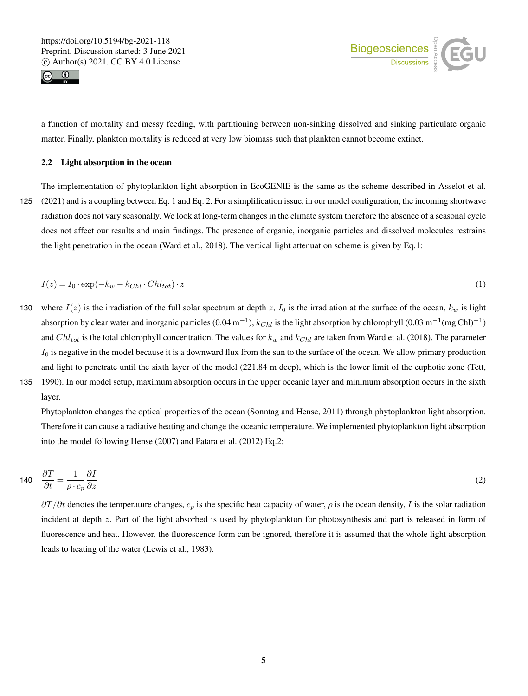



a function of mortality and messy feeding, with partitioning between non-sinking dissolved and sinking particulate organic matter. Finally, plankton mortality is reduced at very low biomass such that plankton cannot become extinct.

### 2.2 Light absorption in the ocean

The implementation of phytoplankton light absorption in EcoGENIE is the same as the scheme described in Asselot et al. 125 (2021) and is a coupling between Eq. 1 and Eq. 2. For a simplification issue, in our model configuration, the incoming shortwave radiation does not vary seasonally. We look at long-term changes in the climate system therefore the absence of a seasonal cycle does not affect our results and main findings. The presence of organic, inorganic particles and dissolved molecules restrains the light penetration in the ocean (Ward et al., 2018). The vertical light attenuation scheme is given by Eq.1:

$$
I(z) = I_0 \cdot \exp(-k_w - k_{Chl} \cdot Chl_{tot}) \cdot z \tag{1}
$$

- 130 where  $I(z)$  is the irradiation of the full solar spectrum at depth z,  $I_0$  is the irradiation at the surface of the ocean,  $k_w$  is light absorption by clear water and inorganic particles (0.04 m<sup>-1</sup>),  $k_{Chl}$  is the light absorption by chlorophyll (0.03 m<sup>-1</sup>(mg Chl)<sup>-1</sup>) and  $Chl_{tot}$  is the total chlorophyll concentration. The values for  $k_w$  and  $k_{Chl}$  are taken from Ward et al. (2018). The parameter  $I_0$  is negative in the model because it is a downward flux from the sun to the surface of the ocean. We allow primary production and light to penetrate until the sixth layer of the model (221.84 m deep), which is the lower limit of the euphotic zone (Tett, 135 1990). In our model setup, maximum absorption occurs in the upper oceanic layer and minimum absorption occurs in the sixth
- layer.

Phytoplankton changes the optical properties of the ocean (Sonntag and Hense, 2011) through phytoplankton light absorption. Therefore it can cause a radiative heating and change the oceanic temperature. We implemented phytoplankton light absorption into the model following Hense (2007) and Patara et al. (2012) Eq.2:

$$
140 \quad \frac{\partial T}{\partial t} = \frac{1}{\rho \cdot c_p} \frac{\partial I}{\partial z} \tag{2}
$$

 $\partial T/\partial t$  denotes the temperature changes,  $c_p$  is the specific heat capacity of water,  $\rho$  is the ocean density, I is the solar radiation incident at depth z. Part of the light absorbed is used by phytoplankton for photosynthesis and part is released in form of fluorescence and heat. However, the fluorescence form can be ignored, therefore it is assumed that the whole light absorption leads to heating of the water (Lewis et al., 1983).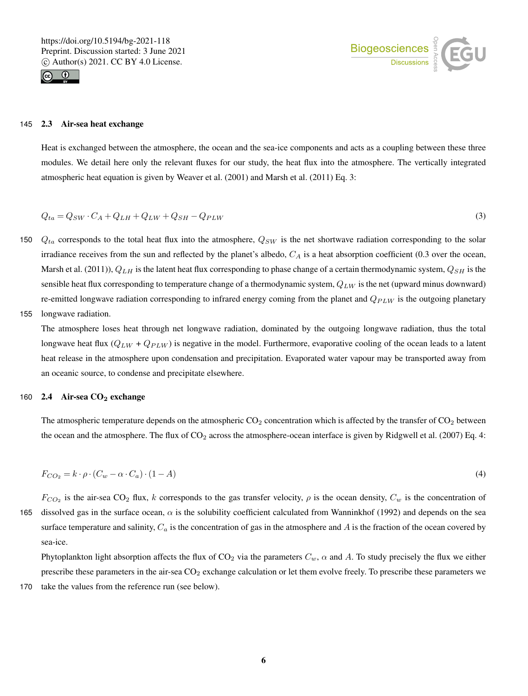



## 145 2.3 Air-sea heat exchange

Heat is exchanged between the atmosphere, the ocean and the sea-ice components and acts as a coupling between these three modules. We detail here only the relevant fluxes for our study, the heat flux into the atmosphere. The vertically integrated atmospheric heat equation is given by Weaver et al. (2001) and Marsh et al. (2011) Eq. 3:

$$
Q_{ta} = Q_{SW} \cdot C_A + Q_{LH} + Q_{LW} + Q_{SH} - Q_{PLW}
$$
\n
$$
\tag{3}
$$

- 150  $Q_{ta}$  corresponds to the total heat flux into the atmosphere,  $Q_{SW}$  is the net shortwave radiation corresponding to the solar irradiance receives from the sun and reflected by the planet's albedo,  $C_A$  is a heat absorption coefficient (0.3 over the ocean, Marsh et al. (2011)),  $Q_{LH}$  is the latent heat flux corresponding to phase change of a certain thermodynamic system,  $Q_{SH}$  is the sensible heat flux corresponding to temperature change of a thermodynamic system,  $Q_{LW}$  is the net (upward minus downward) re-emitted longwave radiation corresponding to infrared energy coming from the planet and  $Q_{PLW}$  is the outgoing planetary 155 longwave radiation.
- 

The atmosphere loses heat through net longwave radiation, dominated by the outgoing longwave radiation, thus the total longwave heat flux  $(Q_{LW} + Q_{PLW})$  is negative in the model. Furthermore, evaporative cooling of the ocean leads to a latent heat release in the atmosphere upon condensation and precipitation. Evaporated water vapour may be transported away from an oceanic source, to condense and precipitate elsewhere.

# 160 2.4 Air-sea  $CO<sub>2</sub>$  exchange

The atmospheric temperature depends on the atmospheric  $CO_2$  concentration which is affected by the transfer of  $CO_2$  between the ocean and the atmosphere. The flux of  $CO<sub>2</sub>$  across the atmosphere-ocean interface is given by Ridgwell et al. (2007) Eq. 4:

$$
F_{CO_2} = k \cdot \rho \cdot (C_w - \alpha \cdot C_a) \cdot (1 - A) \tag{4}
$$

 $F_{CO_2}$  is the air-sea CO<sub>2</sub> flux, k corresponds to the gas transfer velocity,  $\rho$  is the ocean density,  $C_w$  is the concentration of 165 dissolved gas in the surface ocean,  $\alpha$  is the solubility coefficient calculated from Wanninkhof (1992) and depends on the sea surface temperature and salinity,  $C_a$  is the concentration of gas in the atmosphere and  $A$  is the fraction of the ocean covered by sea-ice.

Phytoplankton light absorption affects the flux of  $CO_2$  via the parameters  $C_w$ ,  $\alpha$  and A. To study precisely the flux we either prescribe these parameters in the air-sea CO<sub>2</sub> exchange calculation or let them evolve freely. To prescribe these parameters we

170 take the values from the reference run (see below).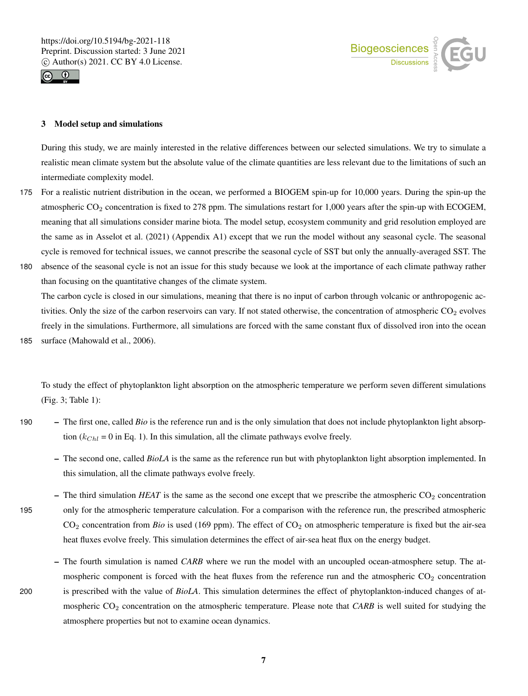



## 3 Model setup and simulations

During this study, we are mainly interested in the relative differences between our selected simulations. We try to simulate a realistic mean climate system but the absolute value of the climate quantities are less relevant due to the limitations of such an intermediate complexity model.

- 175 For a realistic nutrient distribution in the ocean, we performed a BIOGEM spin-up for 10,000 years. During the spin-up the atmospheric  $CO<sub>2</sub>$  concentration is fixed to 278 ppm. The simulations restart for 1,000 years after the spin-up with ECOGEM, meaning that all simulations consider marine biota. The model setup, ecosystem community and grid resolution employed are the same as in Asselot et al. (2021) (Appendix A1) except that we run the model without any seasonal cycle. The seasonal cycle is removed for technical issues, we cannot prescribe the seasonal cycle of SST but only the annually-averaged SST. The
- 180 absence of the seasonal cycle is not an issue for this study because we look at the importance of each climate pathway rather than focusing on the quantitative changes of the climate system. The carbon cycle is closed in our simulations, meaning that there is no input of carbon through volcanic or anthropogenic ac-

tivities. Only the size of the carbon reservoirs can vary. If not stated otherwise, the concentration of atmospheric  $CO_2$  evolves freely in the simulations. Furthermore, all simulations are forced with the same constant flux of dissolved iron into the ocean

185 surface (Mahowald et al., 2006).

To study the effect of phytoplankton light absorption on the atmospheric temperature we perform seven different simulations (Fig. 3; Table 1):

- 190 The first one, called *Bio* is the reference run and is the only simulation that does not include phytoplankton light absorption ( $k_{Chl}$  = 0 in Eq. 1). In this simulation, all the climate pathways evolve freely.
	- The second one, called *BioLA* is the same as the reference run but with phytoplankton light absorption implemented. In this simulation, all the climate pathways evolve freely.
- $-$  The third simulation *HEAT* is the same as the second one except that we prescribe the atmospheric  $CO<sub>2</sub>$  concentration 195 only for the atmospheric temperature calculation. For a comparison with the reference run, the prescribed atmospheric CO<sub>2</sub> concentration from *Bio* is used (169 ppm). The effect of CO<sub>2</sub> on atmospheric temperature is fixed but the air-sea heat fluxes evolve freely. This simulation determines the effect of air-sea heat flux on the energy budget.
- The fourth simulation is named *CARB* where we run the model with an uncoupled ocean-atmosphere setup. The atmospheric component is forced with the heat fluxes from the reference run and the atmospheric  $CO<sub>2</sub>$  concentration 200 is prescribed with the value of *BioLA*. This simulation determines the effect of phytoplankton-induced changes of atmospheric CO<sub>2</sub> concentration on the atmospheric temperature. Please note that *CARB* is well suited for studying the atmosphere properties but not to examine ocean dynamics.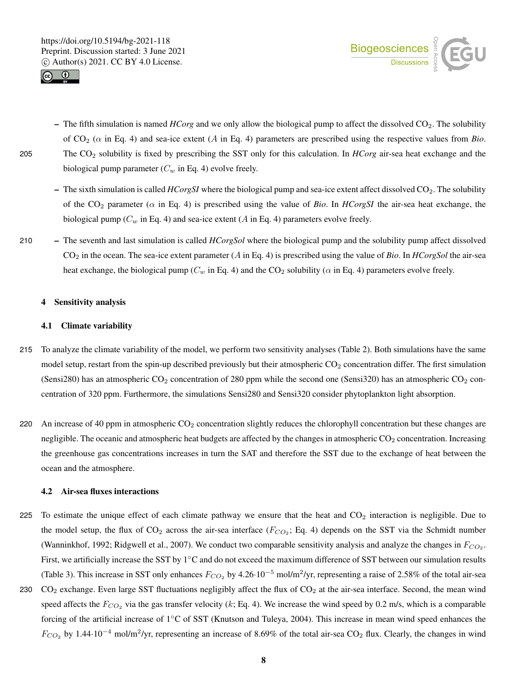



- $-$  The fifth simulation is named *HCorg* and we only allow the biological pump to affect the dissolved  $CO<sub>2</sub>$ . The solubility of CO<sup>2</sup> (α in Eq. 4) and sea-ice extent (A in Eq. 4) parameters are prescribed using the respective values from *Bio*. 205 The CO<sup>2</sup> solubility is fixed by prescribing the SST only for this calculation. In *HCorg* air-sea heat exchange and the biological pump parameter  $(C_w$  in Eq. 4) evolve freely.
	- The sixth simulation is called *HCorgSI* where the biological pump and sea-ice extent affect dissolved CO2. The solubility of the  $CO_2$  parameter ( $\alpha$  in Eq. 4) is prescribed using the value of *Bio*. In *HCorgSI* the air-sea heat exchange, the biological pump ( $C_w$  in Eq. 4) and sea-ice extent (A in Eq. 4) parameters evolve freely.
- 210 The seventh and last simulation is called *HCorgSol* where the biological pump and the solubility pump affect dissolved CO<sup>2</sup> in the ocean. The sea-ice extent parameter (A in Eq. 4) is prescribed using the value of *Bio*. In *HCorgSol* the air-sea heat exchange, the biological pump ( $C_w$  in Eq. 4) and the CO<sub>2</sub> solubility ( $\alpha$  in Eq. 4) parameters evolve freely.

# 4 Sensitivity analysis

### 4.1 Climate variability

- 215 To analyze the climate variability of the model, we perform two sensitivity analyses (Table 2). Both simulations have the same model setup, restart from the spin-up described previously but their atmospheric  $CO<sub>2</sub>$  concentration differ. The first simulation (Sensi280) has an atmospheric  $CO_2$  concentration of 280 ppm while the second one (Sensi320) has an atmospheric  $CO_2$  concentration of 320 ppm. Furthermore, the simulations Sensi280 and Sensi320 consider phytoplankton light absorption.
- 220 An increase of 40 ppm in atmospheric  $CO<sub>2</sub>$  concentration slightly reduces the chlorophyll concentration but these changes are negligible. The oceanic and atmospheric heat budgets are affected by the changes in atmospheric  $CO<sub>2</sub>$  concentration. Increasing the greenhouse gas concentrations increases in turn the SAT and therefore the SST due to the exchange of heat between the ocean and the atmosphere.

#### 4.2 Air-sea fluxes interactions

- 225 To estimate the unique effect of each climate pathway we ensure that the heat and  $CO<sub>2</sub>$  interaction is negligible. Due to the model setup, the flux of  $CO_2$  across the air-sea interface ( $F_{CO_2}$ ; Eq. 4) depends on the SST via the Schmidt number (Wanninkhof, 1992; Ridgwell et al., 2007). We conduct two comparable sensitivity analysis and analyze the changes in  $F_{CO_2}$ . First, we artificially increase the SST by 1◦C and do not exceed the maximum difference of SST between our simulation results (Table 3). This increase in SST only enhances  $F_{CO_2}$  by 4.26 $\cdot 10^{-5}$  mol/m<sup>2</sup>/yr, representing a raise of 2.58% of the total air-sea
- 230  $CO<sub>2</sub>$  exchange. Even large SST fluctuations negligibly affect the flux of  $CO<sub>2</sub>$  at the air-sea interface. Second, the mean wind speed affects the  $F_{CO_2}$  via the gas transfer velocity (k; Eq. 4). We increase the wind speed by 0.2 m/s, which is a comparable forcing of the artificial increase of 1◦C of SST (Knutson and Tuleya, 2004). This increase in mean wind speed enhances the  $F_{CO_2}$  by 1.44·10<sup>-4</sup> mol/m<sup>2</sup>/yr, representing an increase of 8.69% of the total air-sea CO<sub>2</sub> flux. Clearly, the changes in wind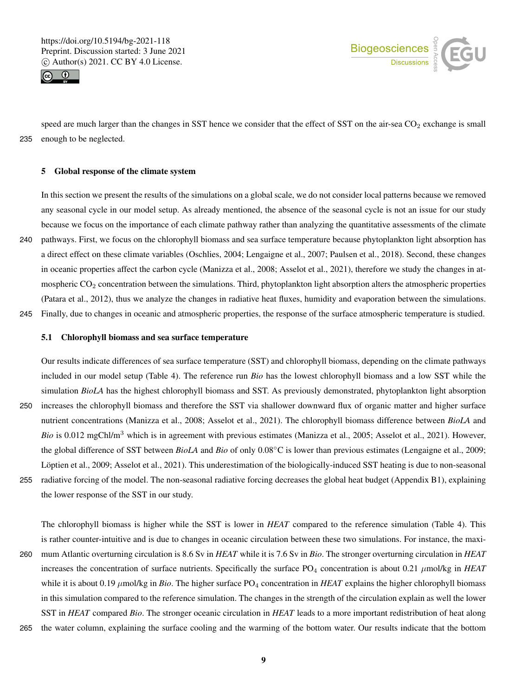



speed are much larger than the changes in SST hence we consider that the effect of SST on the air-sea  $CO<sub>2</sub>$  exchange is small 235 enough to be neglected.

#### 5 Global response of the climate system

In this section we present the results of the simulations on a global scale, we do not consider local patterns because we removed any seasonal cycle in our model setup. As already mentioned, the absence of the seasonal cycle is not an issue for our study because we focus on the importance of each climate pathway rather than analyzing the quantitative assessments of the climate 240 pathways. First, we focus on the chlorophyll biomass and sea surface temperature because phytoplankton light absorption has a direct effect on these climate variables (Oschlies, 2004; Lengaigne et al., 2007; Paulsen et al., 2018). Second, these changes in oceanic properties affect the carbon cycle (Manizza et al., 2008; Asselot et al., 2021), therefore we study the changes in atmospheric CO<sub>2</sub> concentration between the simulations. Third, phytoplankton light absorption alters the atmospheric properties (Patara et al., 2012), thus we analyze the changes in radiative heat fluxes, humidity and evaporation between the simulations.

245 Finally, due to changes in oceanic and atmospheric properties, the response of the surface atmospheric temperature is studied.

#### 5.1 Chlorophyll biomass and sea surface temperature

Our results indicate differences of sea surface temperature (SST) and chlorophyll biomass, depending on the climate pathways included in our model setup (Table 4). The reference run *Bio* has the lowest chlorophyll biomass and a low SST while the simulation *BioLA* has the highest chlorophyll biomass and SST. As previously demonstrated, phytoplankton light absorption 250 increases the chlorophyll biomass and therefore the SST via shallower downward flux of organic matter and higher surface nutrient concentrations (Manizza et al., 2008; Asselot et al., 2021). The chlorophyll biomass difference between *BioLA* and *Bio* is 0.012 mgChl/m<sup>3</sup> which is in agreement with previous estimates (Manizza et al., 2005; Asselot et al., 2021). However, the global difference of SST between *BioLA* and *Bio* of only 0.08◦C is lower than previous estimates (Lengaigne et al., 2009; Löptien et al., 2009; Asselot et al., 2021). This underestimation of the biologically-induced SST heating is due to non-seasonal 255 radiative forcing of the model. The non-seasonal radiative forcing decreases the global heat budget (Appendix B1), explaining the lower response of the SST in our study.

The chlorophyll biomass is higher while the SST is lower in *HEAT* compared to the reference simulation (Table 4). This is rather counter-intuitive and is due to changes in oceanic circulation between these two simulations. For instance, the maxi-260 mum Atlantic overturning circulation is 8.6 Sv in *HEAT* while it is 7.6 Sv in *Bio*. The stronger overturning circulation in *HEAT* increases the concentration of surface nutrients. Specifically the surface  $PO_4$  concentration is about 0.21  $\mu$ mol/kg in *HEAT* while it is about 0.19  $\mu$ mol/kg in *Bio*. The higher surface PO<sub>4</sub> concentration in *HEAT* explains the higher chlorophyll biomass in this simulation compared to the reference simulation. The changes in the strength of the circulation explain as well the lower SST in *HEAT* compared *Bio*. The stronger oceanic circulation in *HEAT* leads to a more important redistribution of heat along

265 the water column, explaining the surface cooling and the warming of the bottom water. Our results indicate that the bottom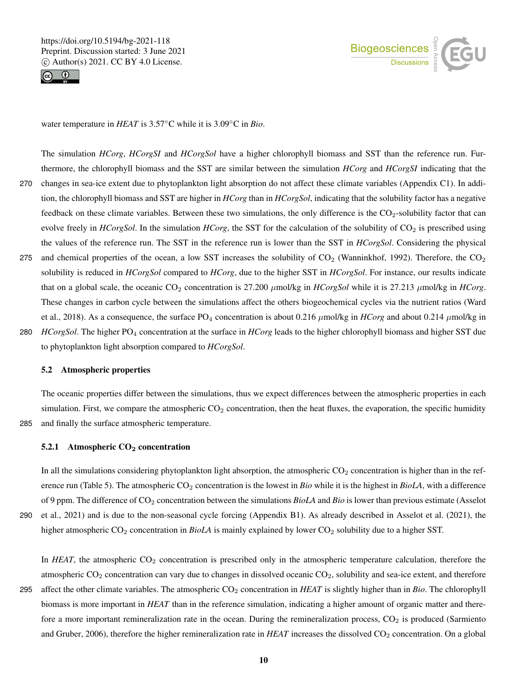



water temperature in *HEAT* is 3.57◦C while it is 3.09◦C in *Bio*.

The simulation *HCorg*, *HCorgSI* and *HCorgSol* have a higher chlorophyll biomass and SST than the reference run. Furthermore, the chlorophyll biomass and the SST are similar between the simulation *HCorg* and *HCorgSI* indicating that the 270 changes in sea-ice extent due to phytoplankton light absorption do not affect these climate variables (Appendix C1). In addition, the chlorophyll biomass and SST are higher in *HCorg* than in *HCorgSol*, indicating that the solubility factor has a negative feedback on these climate variables. Between these two simulations, the only difference is the  $CO<sub>2</sub>$ -solubility factor that can evolve freely in *HCorgSol*. In the simulation *HCorg*, the SST for the calculation of the solubility of CO<sub>2</sub> is prescribed using the values of the reference run. The SST in the reference run is lower than the SST in *HCorgSol*. Considering the physical 275 and chemical properties of the ocean, a low SST increases the solubility of  $CO_2$  (Wanninkhof, 1992). Therefore, the  $CO_2$ solubility is reduced in *HCorgSol* compared to *HCorg*, due to the higher SST in *HCorgSol*. For instance, our results indicate that on a global scale, the oceanic  $CO_2$  concentration is 27.200  $\mu$ mol/kg in *HCorgSol* while it is 27.213  $\mu$ mol/kg in *HCorg*. These changes in carbon cycle between the simulations affect the others biogeochemical cycles via the nutrient ratios (Ward et al., 2018). As a consequence, the surface  $PO_4$  concentration is about 0.216  $\mu$ mol/kg in *HCorg* and about 0.214  $\mu$ mol/kg in 280 *HCorgSol*. The higher PO<sup>4</sup> concentration at the surface in *HCorg* leads to the higher chlorophyll biomass and higher SST due

to phytoplankton light absorption compared to *HCorgSol*.

#### 5.2 Atmospheric properties

The oceanic properties differ between the simulations, thus we expect differences between the atmospheric properties in each simulation. First, we compare the atmospheric  $CO<sub>2</sub>$  concentration, then the heat fluxes, the evaporation, the specific humidity 285 and finally the surface atmospheric temperature.

## 5.2.1 Atmospheric  $CO<sub>2</sub>$  concentration

In all the simulations considering phytoplankton light absorption, the atmospheric  $CO<sub>2</sub>$  concentration is higher than in the reference run (Table 5). The atmospheric CO<sub>2</sub> concentration is the lowest in *Bio* while it is the highest in *BioLA*, with a difference of 9 ppm. The difference of CO<sup>2</sup> concentration between the simulations *BioLA* and *Bio* is lower than previous estimate (Asselot 290 et al., 2021) and is due to the non-seasonal cycle forcing (Appendix B1). As already described in Asselot et al. (2021), the higher atmospheric CO<sub>2</sub> concentration in *BioLA* is mainly explained by lower CO<sub>2</sub> solubility due to a higher SST.

In *HEAT*, the atmospheric  $CO_2$  concentration is prescribed only in the atmospheric temperature calculation, therefore the atmospheric  $CO_2$  concentration can vary due to changes in dissolved oceanic  $CO_2$ , solubility and sea-ice extent, and therefore

295 affect the other climate variables. The atmospheric CO<sub>2</sub> concentration in *HEAT* is slightly higher than in *Bio*. The chlorophyll biomass is more important in *HEAT* than in the reference simulation, indicating a higher amount of organic matter and therefore a more important remineralization rate in the ocean. During the remineralization process,  $CO<sub>2</sub>$  is produced (Sarmiento and Gruber, 2006), therefore the higher remineralization rate in *HEAT* increases the dissolved CO<sub>2</sub> concentration. On a global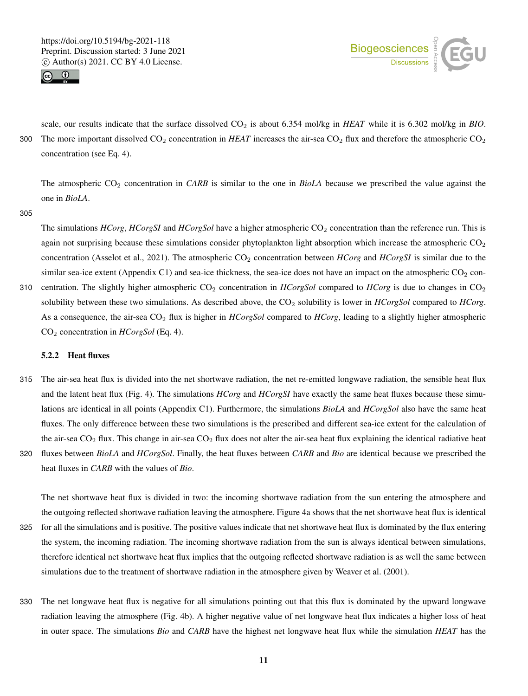



scale, our results indicate that the surface dissolved CO<sub>2</sub> is about 6.354 mol/kg in *HEAT* while it is 6.302 mol/kg in *BIO*. 300 The more important dissolved  $CO_2$  concentration in *HEAT* increases the air-sea  $CO_2$  flux and therefore the atmospheric  $CO_2$ concentration (see Eq. 4).

The atmospheric CO<sub>2</sub> concentration in *CARB* is similar to the one in *BioLA* because we prescribed the value against the one in *BioLA*.

#### 305

The simulations *HCorg*, *HCorgSI* and *HCorgSol* have a higher atmospheric CO<sub>2</sub> concentration than the reference run. This is again not surprising because these simulations consider phytoplankton light absorption which increase the atmospheric  $CO<sub>2</sub>$ concentration (Asselot et al., 2021). The atmospheric CO<sub>2</sub> concentration between *HCorg* and *HCorgSI* is similar due to the similar sea-ice extent (Appendix C1) and sea-ice thickness, the sea-ice does not have an impact on the atmospheric  $CO_2$  con-

310 centration. The slightly higher atmospheric  $CO_2$  concentration in *HCorgSol* compared to *HCorg* is due to changes in  $CO_2$ solubility between these two simulations. As described above, the CO<sup>2</sup> solubility is lower in *HCorgSol* compared to *HCorg*. As a consequence, the air-sea CO<sup>2</sup> flux is higher in *HCorgSol* compared to *HCorg*, leading to a slightly higher atmospheric CO<sup>2</sup> concentration in *HCorgSol* (Eq. 4).

# 5.2.2 Heat fluxes

315 The air-sea heat flux is divided into the net shortwave radiation, the net re-emitted longwave radiation, the sensible heat flux and the latent heat flux (Fig. 4). The simulations *HCorg* and *HCorgSI* have exactly the same heat fluxes because these simulations are identical in all points (Appendix C1). Furthermore, the simulations *BioLA* and *HCorgSol* also have the same heat fluxes. The only difference between these two simulations is the prescribed and different sea-ice extent for the calculation of the air-sea  $CO<sub>2</sub>$  flux. This change in air-sea  $CO<sub>2</sub>$  flux does not alter the air-sea heat flux explaining the identical radiative heat 320 fluxes between *BioLA* and *HCorgSol*. Finally, the heat fluxes between *CARB* and *Bio* are identical because we prescribed the

heat fluxes in *CARB* with the values of *Bio*.

The net shortwave heat flux is divided in two: the incoming shortwave radiation from the sun entering the atmosphere and the outgoing reflected shortwave radiation leaving the atmosphere. Figure 4a shows that the net shortwave heat flux is identical 325 for all the simulations and is positive. The positive values indicate that net shortwave heat flux is dominated by the flux entering the system, the incoming radiation. The incoming shortwave radiation from the sun is always identical between simulations, therefore identical net shortwave heat flux implies that the outgoing reflected shortwave radiation is as well the same between simulations due to the treatment of shortwave radiation in the atmosphere given by Weaver et al. (2001).

330 The net longwave heat flux is negative for all simulations pointing out that this flux is dominated by the upward longwave radiation leaving the atmosphere (Fig. 4b). A higher negative value of net longwave heat flux indicates a higher loss of heat in outer space. The simulations *Bio* and *CARB* have the highest net longwave heat flux while the simulation *HEAT* has the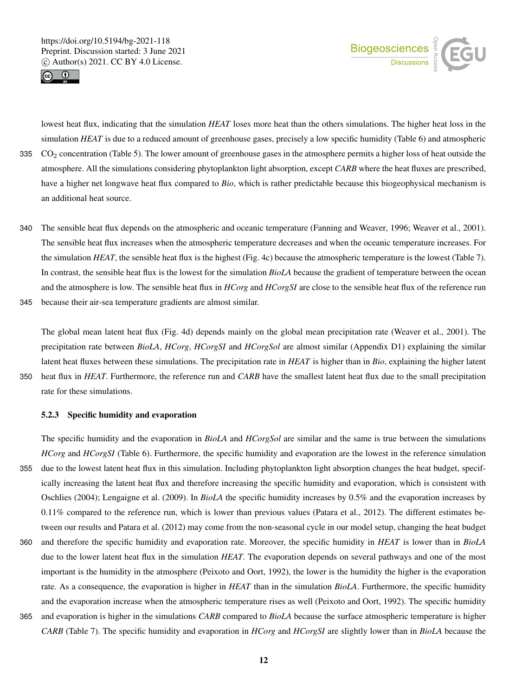



lowest heat flux, indicating that the simulation *HEAT* loses more heat than the others simulations. The higher heat loss in the simulation *HEAT* is due to a reduced amount of greenhouse gases, precisely a low specific humidity (Table 6) and atmospheric 335 CO<sub>2</sub> concentration (Table 5). The lower amount of greenhouse gases in the atmosphere permits a higher loss of heat outside the atmosphere. All the simulations considering phytoplankton light absorption, except *CARB* where the heat fluxes are prescribed, have a higher net longwave heat flux compared to *Bio*, which is rather predictable because this biogeophysical mechanism is an additional heat source.

340 The sensible heat flux depends on the atmospheric and oceanic temperature (Fanning and Weaver, 1996; Weaver et al., 2001). The sensible heat flux increases when the atmospheric temperature decreases and when the oceanic temperature increases. For the simulation *HEAT*, the sensible heat flux is the highest (Fig. 4c) because the atmospheric temperature is the lowest (Table 7). In contrast, the sensible heat flux is the lowest for the simulation *BioLA* because the gradient of temperature between the ocean and the atmosphere is low. The sensible heat flux in *HCorg* and *HCorgSI* are close to the sensible heat flux of the reference run

345 because their air-sea temperature gradients are almost similar.

The global mean latent heat flux (Fig. 4d) depends mainly on the global mean precipitation rate (Weaver et al., 2001). The precipitation rate between *BioLA*, *HCorg*, *HCorgSI* and *HCorgSol* are almost similar (Appendix D1) explaining the similar latent heat fluxes between these simulations. The precipitation rate in *HEAT* is higher than in *Bio*, explaining the higher latent 350 heat flux in *HEAT*. Furthermore, the reference run and *CARB* have the smallest latent heat flux due to the small precipitation rate for these simulations.

# 5.2.3 Specific humidity and evaporation

The specific humidity and the evaporation in *BioLA* and *HCorgSol* are similar and the same is true between the simulations *HCorg* and *HCorgSI* (Table 6). Furthermore, the specific humidity and evaporation are the lowest in the reference simulation 355 due to the lowest latent heat flux in this simulation. Including phytoplankton light absorption changes the heat budget, specifically increasing the latent heat flux and therefore increasing the specific humidity and evaporation, which is consistent with Oschlies (2004); Lengaigne et al. (2009). In *BioLA* the specific humidity increases by 0.5% and the evaporation increases by 0.11% compared to the reference run, which is lower than previous values (Patara et al., 2012). The different estimates between our results and Patara et al. (2012) may come from the non-seasonal cycle in our model setup, changing the heat budget 360 and therefore the specific humidity and evaporation rate. Moreover, the specific humidity in *HEAT* is lower than in *BioLA* due to the lower latent heat flux in the simulation *HEAT*. The evaporation depends on several pathways and one of the most important is the humidity in the atmosphere (Peixoto and Oort, 1992), the lower is the humidity the higher is the evaporation rate. As a consequence, the evaporation is higher in *HEAT* than in the simulation *BioLA*. Furthermore, the specific humidity and the evaporation increase when the atmospheric temperature rises as well (Peixoto and Oort, 1992). The specific humidity

365 and evaporation is higher in the simulations *CARB* compared to *BioLA* because the surface atmospheric temperature is higher *CARB* (Table 7). The specific humidity and evaporation in *HCorg* and *HCorgSI* are slightly lower than in *BioLA* because the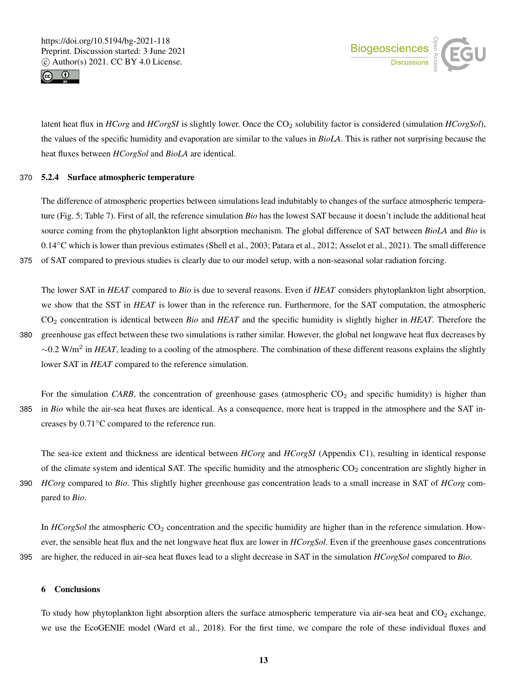



latent heat flux in *HCorg* and *HCorgSI* is slightly lower. Once the CO<sub>2</sub> solubility factor is considered (simulation *HCorgSol*), the values of the specific humidity and evaporation are similar to the values in *BioLA*. This is rather not surprising because the heat fluxes between *HCorgSol* and *BioLA* are identical.

# 370 5.2.4 Surface atmospheric temperature

The difference of atmospheric properties between simulations lead indubitably to changes of the surface atmospheric temperature (Fig. 5; Table 7). First of all, the reference simulation *Bio* has the lowest SAT because it doesn't include the additional heat source coming from the phytoplankton light absorption mechanism. The global difference of SAT between *BioLA* and *Bio* is 0.14◦C which is lower than previous estimates (Shell et al., 2003; Patara et al., 2012; Asselot et al., 2021). The small difference 375 of SAT compared to previous studies is clearly due to our model setup, with a non-seasonal solar radiation forcing.

The lower SAT in *HEAT* compared to *Bio* is due to several reasons. Even if *HEAT* considers phytoplankton light absorption, we show that the SST in *HEAT* is lower than in the reference run. Furthermore, for the SAT computation, the atmospheric CO<sup>2</sup> concentration is identical between *Bio* and *HEAT* and the specific humidity is slightly higher in *HEAT*. Therefore the 380 greenhouse gas effect between these two simulations is rather similar. However, the global net longwave heat flux decreases by  $\sim$ 0.2 W/m<sup>2</sup> in *HEAT*, leading to a cooling of the atmosphere. The combination of these different reasons explains the slightly lower SAT in *HEAT* compared to the reference simulation.

For the simulation *CARB*, the concentration of greenhouse gases (atmospheric  $CO<sub>2</sub>$  and specific humidity) is higher than 385 in *Bio* while the air-sea heat fluxes are identical. As a consequence, more heat is trapped in the atmosphere and the SAT increases by 0.71◦C compared to the reference run.

The sea-ice extent and thickness are identical between *HCorg* and *HCorgSI* (Appendix C1), resulting in identical response of the climate system and identical SAT. The specific humidity and the atmospheric  $CO<sub>2</sub>$  concentration are slightly higher in 390 *HCorg* compared to *Bio*. This slightly higher greenhouse gas concentration leads to a small increase in SAT of *HCorg* com-

In *HCorgSol* the atmospheric CO<sub>2</sub> concentration and the specific humidity are higher than in the reference simulation. However, the sensible heat flux and the net longwave heat flux are lower in *HCorgSol*. Even if the greenhouse gases concentrations 395 are higher, the reduced in air-sea heat fluxes lead to a slight decrease in SAT in the simulation *HCorgSol* compared to *Bio*.

## 6 Conclusions

pared to *Bio*.

To study how phytoplankton light absorption alters the surface atmospheric temperature via air-sea heat and  $CO<sub>2</sub>$  exchange, we use the EcoGENIE model (Ward et al., 2018). For the first time, we compare the role of these individual fluxes and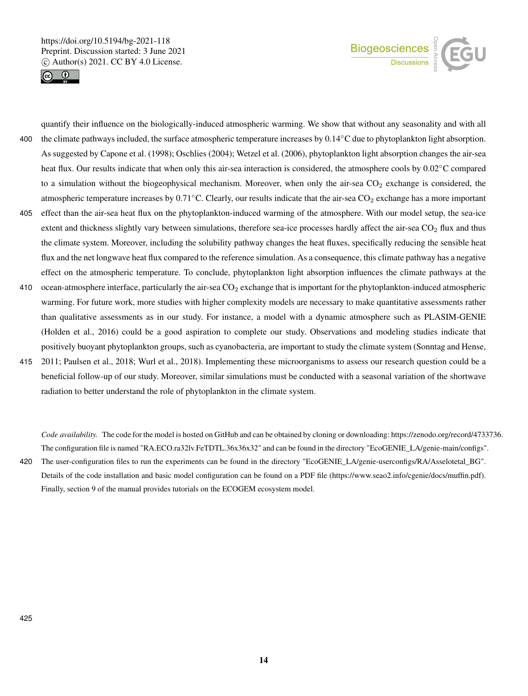



quantify their influence on the biologically-induced atmospheric warming. We show that without any seasonality and with all 400 the climate pathways included, the surface atmospheric temperature increases by  $0.14^{\circ}$ C due to phytoplankton light absorption. As suggested by Capone et al. (1998); Oschlies (2004); Wetzel et al. (2006), phytoplankton light absorption changes the air-sea heat flux. Our results indicate that when only this air-sea interaction is considered, the atmosphere cools by 0.02◦C compared to a simulation without the biogeophysical mechanism. Moreover, when only the air-sea  $CO<sub>2</sub>$  exchange is considered, the atmospheric temperature increases by  $0.71°C$ . Clearly, our results indicate that the air-sea  $CO<sub>2</sub>$  exchange has a more important 405 effect than the air-sea heat flux on the phytoplankton-induced warming of the atmosphere. With our model setup, the sea-ice extent and thickness slightly vary between simulations, therefore sea-ice processes hardly affect the air-sea  $CO<sub>2</sub>$  flux and thus the climate system. Moreover, including the solubility pathway changes the heat fluxes, specifically reducing the sensible heat

- flux and the net longwave heat flux compared to the reference simulation. As a consequence, this climate pathway has a negative effect on the atmospheric temperature. To conclude, phytoplankton light absorption influences the climate pathways at the 410 ocean-atmosphere interface, particularly the air-sea  $CO<sub>2</sub>$  exchange that is important for the phytoplankton-induced atmospheric warming. For future work, more studies with higher complexity models are necessary to make quantitative assessments rather
- than qualitative assessments as in our study. For instance, a model with a dynamic atmosphere such as PLASIM-GENIE (Holden et al., 2016) could be a good aspiration to complete our study. Observations and modeling studies indicate that positively buoyant phytoplankton groups, such as cyanobacteria, are important to study the climate system (Sonntag and Hense, 415 2011; Paulsen et al., 2018; Wurl et al., 2018). Implementing these microorganisms to assess our research question could be a
- beneficial follow-up of our study. Moreover, similar simulations must be conducted with a seasonal variation of the shortwave radiation to better understand the role of phytoplankton in the climate system.

*Code availability.* The code for the model is hosted on GitHub and can be obtained by cloning or downloading: https://zenodo.org/record/4733736. The configuration file is named "RA.ECO.ra32lv.FeTDTL.36x36x32" and can be found in the directory "EcoGENIE\_LA/genie-main/configs".

420 The user-configuration files to run the experiments can be found in the directory "EcoGENIE\_LA/genie-userconfigs/RA/Asselotetal\_BG". Details of the code installation and basic model configuration can be found on a PDF file (https://www.seao2.info/cgenie/docs/muffin.pdf). Finally, section 9 of the manual provides tutorials on the ECOGEM ecosystem model.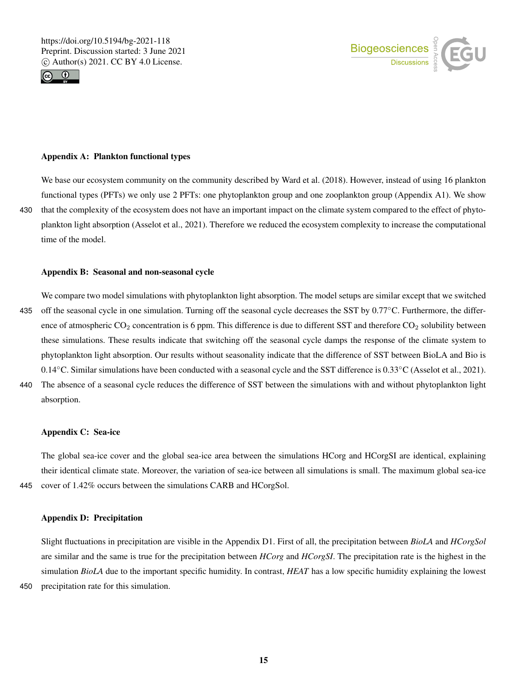



#### Appendix A: Plankton functional types

We base our ecosystem community on the community described by Ward et al. (2018). However, instead of using 16 plankton functional types (PFTs) we only use 2 PFTs: one phytoplankton group and one zooplankton group (Appendix A1). We show 430 that the complexity of the ecosystem does not have an important impact on the climate system compared to the effect of phytoplankton light absorption (Asselot et al., 2021). Therefore we reduced the ecosystem complexity to increase the computational time of the model.

#### Appendix B: Seasonal and non-seasonal cycle

We compare two model simulations with phytoplankton light absorption. The model setups are similar except that we switched 435 off the seasonal cycle in one simulation. Turning off the seasonal cycle decreases the SST by  $0.77^{\circ}$ C. Furthermore, the difference of atmospheric  $CO_2$  concentration is 6 ppm. This difference is due to different SST and therefore  $CO_2$  solubility between these simulations. These results indicate that switching off the seasonal cycle damps the response of the climate system to phytoplankton light absorption. Our results without seasonality indicate that the difference of SST between BioLA and Bio is 0.14◦C. Similar simulations have been conducted with a seasonal cycle and the SST difference is 0.33◦C (Asselot et al., 2021).

440 The absence of a seasonal cycle reduces the difference of SST between the simulations with and without phytoplankton light absorption.

#### Appendix C: Sea-ice

The global sea-ice cover and the global sea-ice area between the simulations HCorg and HCorgSI are identical, explaining their identical climate state. Moreover, the variation of sea-ice between all simulations is small. The maximum global sea-ice 445 cover of 1.42% occurs between the simulations CARB and HCorgSol.

#### Appendix D: Precipitation

Slight fluctuations in precipitation are visible in the Appendix D1. First of all, the precipitation between *BioLA* and *HCorgSol* are similar and the same is true for the precipitation between *HCorg* and *HCorgSI*. The precipitation rate is the highest in the simulation *BioLA* due to the important specific humidity. In contrast, *HEAT* has a low specific humidity explaining the lowest 450 precipitation rate for this simulation.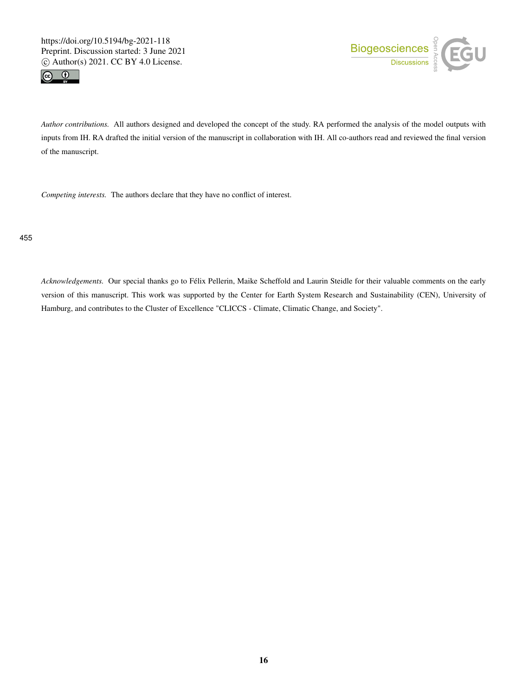



*Author contributions.* All authors designed and developed the concept of the study. RA performed the analysis of the model outputs with inputs from IH. RA drafted the initial version of the manuscript in collaboration with IH. All co-authors read and reviewed the final version of the manuscript.

*Competing interests.* The authors declare that they have no conflict of interest.

455

*Acknowledgements.* Our special thanks go to Félix Pellerin, Maike Scheffold and Laurin Steidle for their valuable comments on the early version of this manuscript. This work was supported by the Center for Earth System Research and Sustainability (CEN), University of Hamburg, and contributes to the Cluster of Excellence "CLICCS - Climate, Climatic Change, and Society".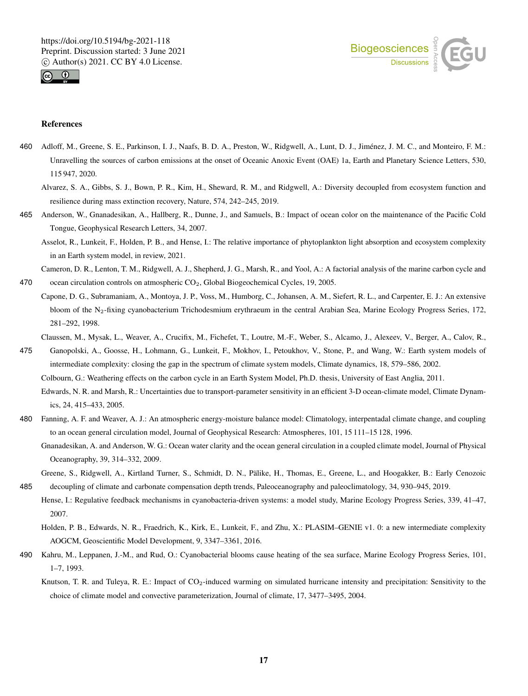



### References

- 460 Adloff, M., Greene, S. E., Parkinson, I. J., Naafs, B. D. A., Preston, W., Ridgwell, A., Lunt, D. J., Jiménez, J. M. C., and Monteiro, F. M.: Unravelling the sources of carbon emissions at the onset of Oceanic Anoxic Event (OAE) 1a, Earth and Planetary Science Letters, 530, 115 947, 2020.
	- Alvarez, S. A., Gibbs, S. J., Bown, P. R., Kim, H., Sheward, R. M., and Ridgwell, A.: Diversity decoupled from ecosystem function and resilience during mass extinction recovery, Nature, 574, 242–245, 2019.
- 465 Anderson, W., Gnanadesikan, A., Hallberg, R., Dunne, J., and Samuels, B.: Impact of ocean color on the maintenance of the Pacific Cold Tongue, Geophysical Research Letters, 34, 2007.
	- Asselot, R., Lunkeit, F., Holden, P. B., and Hense, I.: The relative importance of phytoplankton light absorption and ecosystem complexity in an Earth system model, in review, 2021.

Cameron, D. R., Lenton, T. M., Ridgwell, A. J., Shepherd, J. G., Marsh, R., and Yool, A.: A factorial analysis of the marine carbon cycle and 470 ocean circulation controls on atmospheric CO2, Global Biogeochemical Cycles, 19, 2005.

Capone, D. G., Subramaniam, A., Montoya, J. P., Voss, M., Humborg, C., Johansen, A. M., Siefert, R. L., and Carpenter, E. J.: An extensive bloom of the N2-fixing cyanobacterium Trichodesmium erythraeum in the central Arabian Sea, Marine Ecology Progress Series, 172, 281–292, 1998.

Claussen, M., Mysak, L., Weaver, A., Crucifix, M., Fichefet, T., Loutre, M.-F., Weber, S., Alcamo, J., Alexeev, V., Berger, A., Calov, R.,

475 Ganopolski, A., Goosse, H., Lohmann, G., Lunkeit, F., Mokhov, I., Petoukhov, V., Stone, P., and Wang, W.: Earth system models of intermediate complexity: closing the gap in the spectrum of climate system models, Climate dynamics, 18, 579–586, 2002.

Colbourn, G.: Weathering effects on the carbon cycle in an Earth System Model, Ph.D. thesis, University of East Anglia, 2011.

Edwards, N. R. and Marsh, R.: Uncertainties due to transport-parameter sensitivity in an efficient 3-D ocean-climate model, Climate Dynamics, 24, 415–433, 2005.

- 480 Fanning, A. F. and Weaver, A. J.: An atmospheric energy-moisture balance model: Climatology, interpentadal climate change, and coupling to an ocean general circulation model, Journal of Geophysical Research: Atmospheres, 101, 15 111–15 128, 1996.
	- Gnanadesikan, A. and Anderson, W. G.: Ocean water clarity and the ocean general circulation in a coupled climate model, Journal of Physical Oceanography, 39, 314–332, 2009.
- Greene, S., Ridgwell, A., Kirtland Turner, S., Schmidt, D. N., Pälike, H., Thomas, E., Greene, L., and Hoogakker, B.: Early Cenozoic 485 decoupling of climate and carbonate compensation depth trends, Paleoceanography and paleoclimatology, 34, 930–945, 2019.
	- Hense, I.: Regulative feedback mechanisms in cyanobacteria-driven systems: a model study, Marine Ecology Progress Series, 339, 41–47, 2007.

Holden, P. B., Edwards, N. R., Fraedrich, K., Kirk, E., Lunkeit, F., and Zhu, X.: PLASIM–GENIE v1. 0: a new intermediate complexity AOGCM, Geoscientific Model Development, 9, 3347–3361, 2016.

- 490 Kahru, M., Leppanen, J.-M., and Rud, O.: Cyanobacterial blooms cause heating of the sea surface, Marine Ecology Progress Series, 101, 1–7, 1993.
	- Knutson, T. R. and Tuleya, R. E.: Impact of CO<sub>2</sub>-induced warming on simulated hurricane intensity and precipitation: Sensitivity to the choice of climate model and convective parameterization, Journal of climate, 17, 3477–3495, 2004.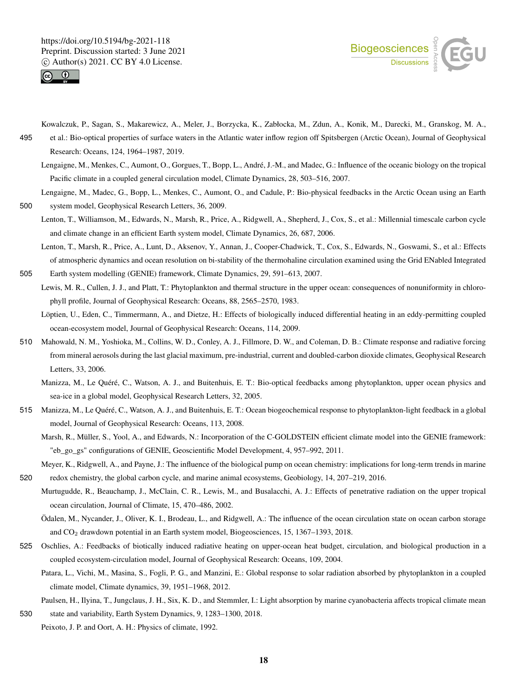



- Kowalczuk, P., Sagan, S., Makarewicz, A., Meler, J., Borzycka, K., Zabłocka, M., Zdun, A., Konik, M., Darecki, M., Granskog, M. A., 495 et al.: Bio-optical properties of surface waters in the Atlantic water inflow region off Spitsbergen (Arctic Ocean), Journal of Geophysical Research: Oceans, 124, 1964–1987, 2019.
	- Lengaigne, M., Menkes, C., Aumont, O., Gorgues, T., Bopp, L., André, J.-M., and Madec, G.: Influence of the oceanic biology on the tropical Pacific climate in a coupled general circulation model, Climate Dynamics, 28, 503–516, 2007.
- Lengaigne, M., Madec, G., Bopp, L., Menkes, C., Aumont, O., and Cadule, P.: Bio-physical feedbacks in the Arctic Ocean using an Earth 500 system model, Geophysical Research Letters, 36, 2009.
	- Lenton, T., Williamson, M., Edwards, N., Marsh, R., Price, A., Ridgwell, A., Shepherd, J., Cox, S., et al.: Millennial timescale carbon cycle and climate change in an efficient Earth system model, Climate Dynamics, 26, 687, 2006.
- Lenton, T., Marsh, R., Price, A., Lunt, D., Aksenov, Y., Annan, J., Cooper-Chadwick, T., Cox, S., Edwards, N., Goswami, S., et al.: Effects of atmospheric dynamics and ocean resolution on bi-stability of the thermohaline circulation examined using the Grid ENabled Integrated 505 Earth system modelling (GENIE) framework, Climate Dynamics, 29, 591–613, 2007.
	- Lewis, M. R., Cullen, J. J., and Platt, T.: Phytoplankton and thermal structure in the upper ocean: consequences of nonuniformity in chlorophyll profile, Journal of Geophysical Research: Oceans, 88, 2565–2570, 1983.
		- Löptien, U., Eden, C., Timmermann, A., and Dietze, H.: Effects of biologically induced differential heating in an eddy-permitting coupled ocean-ecosystem model, Journal of Geophysical Research: Oceans, 114, 2009.
- 510 Mahowald, N. M., Yoshioka, M., Collins, W. D., Conley, A. J., Fillmore, D. W., and Coleman, D. B.: Climate response and radiative forcing from mineral aerosols during the last glacial maximum, pre-industrial, current and doubled-carbon dioxide climates, Geophysical Research Letters, 33, 2006.
	- Manizza, M., Le Quéré, C., Watson, A. J., and Buitenhuis, E. T.: Bio-optical feedbacks among phytoplankton, upper ocean physics and sea-ice in a global model, Geophysical Research Letters, 32, 2005.
- 515 Manizza, M., Le Quéré, C., Watson, A. J., and Buitenhuis, E. T.: Ocean biogeochemical response to phytoplankton-light feedback in a global model, Journal of Geophysical Research: Oceans, 113, 2008.
	- Marsh, R., Müller, S., Yool, A., and Edwards, N.: Incorporation of the C-GOLDSTEIN efficient climate model into the GENIE framework: "eb\_go\_gs" configurations of GENIE, Geoscientific Model Development, 4, 957–992, 2011.
- Meyer, K., Ridgwell, A., and Payne, J.: The influence of the biological pump on ocean chemistry: implications for long-term trends in marine 520 redox chemistry, the global carbon cycle, and marine animal ecosystems, Geobiology, 14, 207–219, 2016.
	- Murtugudde, R., Beauchamp, J., McClain, C. R., Lewis, M., and Busalacchi, A. J.: Effects of penetrative radiation on the upper tropical ocean circulation, Journal of Climate, 15, 470–486, 2002.
		- Ödalen, M., Nycander, J., Oliver, K. I., Brodeau, L., and Ridgwell, A.: The influence of the ocean circulation state on ocean carbon storage and CO<sup>2</sup> drawdown potential in an Earth system model, Biogeosciences, 15, 1367–1393, 2018.
- 525 Oschlies, A.: Feedbacks of biotically induced radiative heating on upper-ocean heat budget, circulation, and biological production in a coupled ecosystem-circulation model, Journal of Geophysical Research: Oceans, 109, 2004.
	- Patara, L., Vichi, M., Masina, S., Fogli, P. G., and Manzini, E.: Global response to solar radiation absorbed by phytoplankton in a coupled climate model, Climate dynamics, 39, 1951–1968, 2012.
- Paulsen, H., Ilyina, T., Jungclaus, J. H., Six, K. D., and Stemmler, I.: Light absorption by marine cyanobacteria affects tropical climate mean 530 state and variability, Earth System Dynamics, 9, 1283–1300, 2018.
	- Peixoto, J. P. and Oort, A. H.: Physics of climate, 1992.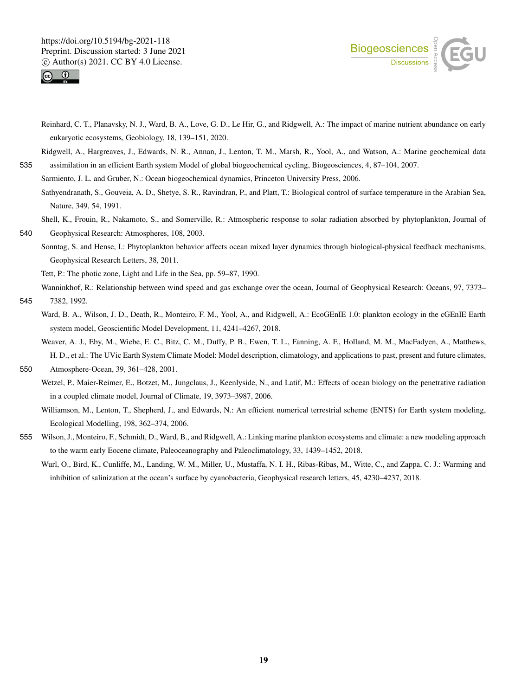



Reinhard, C. T., Planavsky, N. J., Ward, B. A., Love, G. D., Le Hir, G., and Ridgwell, A.: The impact of marine nutrient abundance on early eukaryotic ecosystems, Geobiology, 18, 139–151, 2020.

Ridgwell, A., Hargreaves, J., Edwards, N. R., Annan, J., Lenton, T. M., Marsh, R., Yool, A., and Watson, A.: Marine geochemical data 535 assimilation in an efficient Earth system Model of global biogeochemical cycling, Biogeosciences, 4, 87–104, 2007.

Sarmiento, J. L. and Gruber, N.: Ocean biogeochemical dynamics, Princeton University Press, 2006.

Sathyendranath, S., Gouveia, A. D., Shetye, S. R., Ravindran, P., and Platt, T.: Biological control of surface temperature in the Arabian Sea, Nature, 349, 54, 1991.

Shell, K., Frouin, R., Nakamoto, S., and Somerville, R.: Atmospheric response to solar radiation absorbed by phytoplankton, Journal of 540 Geophysical Research: Atmospheres, 108, 2003.

Sonntag, S. and Hense, I.: Phytoplankton behavior affects ocean mixed layer dynamics through biological-physical feedback mechanisms, Geophysical Research Letters, 38, 2011.

Tett, P.: The photic zone, Light and Life in the Sea, pp. 59–87, 1990.

Wanninkhof, R.: Relationship between wind speed and gas exchange over the ocean, Journal of Geophysical Research: Oceans, 97, 7373– 545 7382, 1992.

Ward, B. A., Wilson, J. D., Death, R., Monteiro, F. M., Yool, A., and Ridgwell, A.: EcoGEnIE 1.0: plankton ecology in the cGEnIE Earth system model, Geoscientific Model Development, 11, 4241–4267, 2018.

Weaver, A. J., Eby, M., Wiebe, E. C., Bitz, C. M., Duffy, P. B., Ewen, T. L., Fanning, A. F., Holland, M. M., MacFadyen, A., Matthews, H. D., et al.: The UVic Earth System Climate Model: Model description, climatology, and applications to past, present and future climates,

550 Atmosphere-Ocean, 39, 361–428, 2001.

Wetzel, P., Maier-Reimer, E., Botzet, M., Jungclaus, J., Keenlyside, N., and Latif, M.: Effects of ocean biology on the penetrative radiation in a coupled climate model, Journal of Climate, 19, 3973–3987, 2006.

Williamson, M., Lenton, T., Shepherd, J., and Edwards, N.: An efficient numerical terrestrial scheme (ENTS) for Earth system modeling, Ecological Modelling, 198, 362–374, 2006.

555 Wilson, J., Monteiro, F., Schmidt, D., Ward, B., and Ridgwell, A.: Linking marine plankton ecosystems and climate: a new modeling approach to the warm early Eocene climate, Paleoceanography and Paleoclimatology, 33, 1439–1452, 2018.

Wurl, O., Bird, K., Cunliffe, M., Landing, W. M., Miller, U., Mustaffa, N. I. H., Ribas-Ribas, M., Witte, C., and Zappa, C. J.: Warming and inhibition of salinization at the ocean's surface by cyanobacteria, Geophysical research letters, 45, 4230–4237, 2018.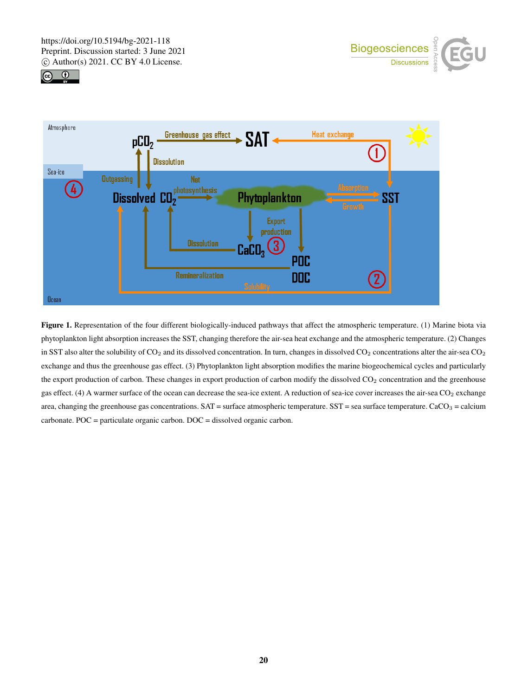





Figure 1. Representation of the four different biologically-induced pathways that affect the atmospheric temperature. (1) Marine biota via phytoplankton light absorption increases the SST, changing therefore the air-sea heat exchange and the atmospheric temperature. (2) Changes in SST also alter the solubility of  $CO<sub>2</sub>$  and its dissolved concentration. In turn, changes in dissolved  $CO<sub>2</sub>$  concentrations alter the air-sea  $CO<sub>2</sub>$ exchange and thus the greenhouse gas effect. (3) Phytoplankton light absorption modifies the marine biogeochemical cycles and particularly the export production of carbon. These changes in export production of carbon modify the dissolved  $CO<sub>2</sub>$  concentration and the greenhouse gas effect. (4) A warmer surface of the ocean can decrease the sea-ice extent. A reduction of sea-ice cover increases the air-sea CO<sub>2</sub> exchange area, changing the greenhouse gas concentrations. SAT = surface atmospheric temperature. SST = sea surface temperature. CaCO<sub>3</sub> = calcium carbonate. POC = particulate organic carbon. DOC = dissolved organic carbon.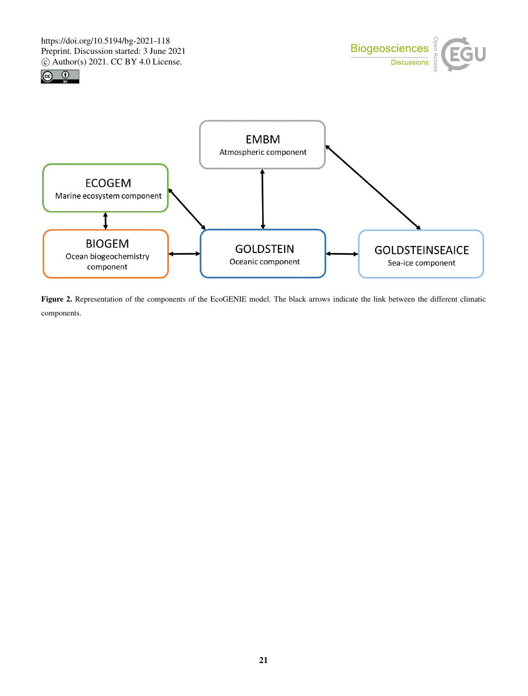https://doi.org/10.5194/bg-2021-118 Preprint. Discussion started: 3 June 2021  $\overline{c}$  Author(s) 2021. CC BY 4.0 License.<br> $\overline{c}$ 







Figure 2. Representation of the components of the EcoGENIE model. The black arrows indicate the link between the different climatic components.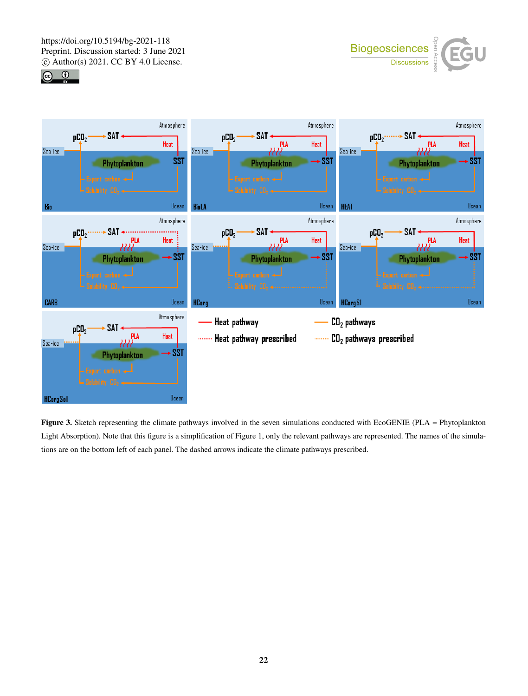





Figure 3. Sketch representing the climate pathways involved in the seven simulations conducted with EcoGENIE (PLA = Phytoplankton Light Absorption). Note that this figure is a simplification of Figure 1, only the relevant pathways are represented. The names of the simulations are on the bottom left of each panel. The dashed arrows indicate the climate pathways prescribed.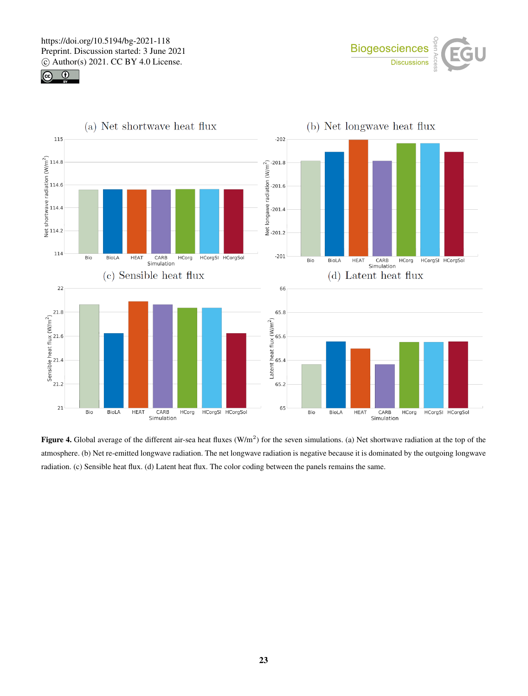





Figure 4. Global average of the different air-sea heat fluxes  $(W/m^2)$  for the seven simulations. (a) Net shortwave radiation at the top of the atmosphere. (b) Net re-emitted longwave radiation. The net longwave radiation is negative because it is dominated by the outgoing longwave radiation. (c) Sensible heat flux. (d) Latent heat flux. The color coding between the panels remains the same.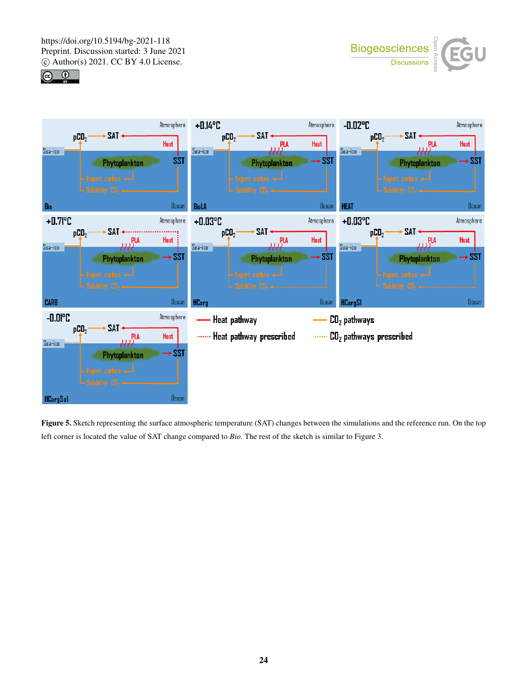https://doi.org/10.5194/bg-2021-118 Preprint. Discussion started: 3 June 2021  $\overline{c}$  Author(s) 2021. CC BY 4.0 License.<br> $\overline{c}$ 







Figure 5. Sketch representing the surface atmospheric temperature (SAT) changes between the simulations and the reference run. On the top left corner is located the value of SAT change compared to *Bio*. The rest of the sketch is similar to Figure 3.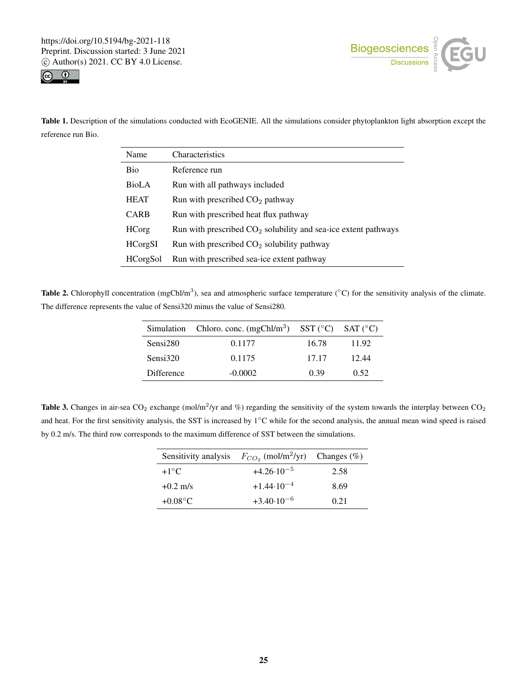



Table 1. Description of the simulations conducted with EcoGENIE. All the simulations consider phytoplankton light absorption except the reference run Bio.

| Name            | <b>Characteristics</b>                                           |
|-----------------|------------------------------------------------------------------|
| Bio             | Reference run                                                    |
| <b>BioLA</b>    | Run with all pathways included                                   |
| <b>HEAT</b>     | Run with prescribed $CO2$ pathway                                |
| <b>CARB</b>     | Run with prescribed heat flux pathway                            |
| <b>HCorg</b>    | Run with prescribed $CO2$ solubility and sea-ice extent pathways |
| <b>HCorgSI</b>  | Run with prescribed $CO2$ solubility pathway                     |
| <b>HCorgSol</b> | Run with prescribed sea-ice extent pathway                       |

Table 2. Chlorophyll concentration  $(mgCh/m<sup>3</sup>)$ , sea and atmospheric surface temperature ( $°C$ ) for the sensitivity analysis of the climate. The difference represents the value of Sensi320 minus the value of Sensi280.

|            | Simulation Chloro. conc. $(mgChl/m^3)$ SST (°C) SAT (°C) |       |       |
|------------|----------------------------------------------------------|-------|-------|
| Sensi280   | 0.1177                                                   | 16.78 | 11.92 |
| Sensi320   | 0.1175                                                   | 17.17 | 12.44 |
| Difference | $-0.0002$                                                | 0.39  | 0.52  |

**Table 3.** Changes in air-sea CO<sub>2</sub> exchange (mol/m<sup>2</sup>/yr and %) regarding the sensitivity of the system towards the interplay between CO<sub>2</sub> and heat. For the first sensitivity analysis, the SST is increased by 1℃ while for the second analysis, the annual mean wind speed is raised by 0.2 m/s. The third row corresponds to the maximum difference of SST between the simulations.

| Sensitivity analysis | $F_{CO_2}$ (mol/m <sup>2</sup> /yr) | Changes $(\%)$ |
|----------------------|-------------------------------------|----------------|
| $+1$ °C              | $+4.26 \cdot 10^{-5}$               | 2.58           |
| $+0.2$ m/s           | $+1.44 \cdot 10^{-4}$               | 8.69           |
| $+0.08\degree$ C     | $+3.40 \cdot 10^{-6}$               | 0.21           |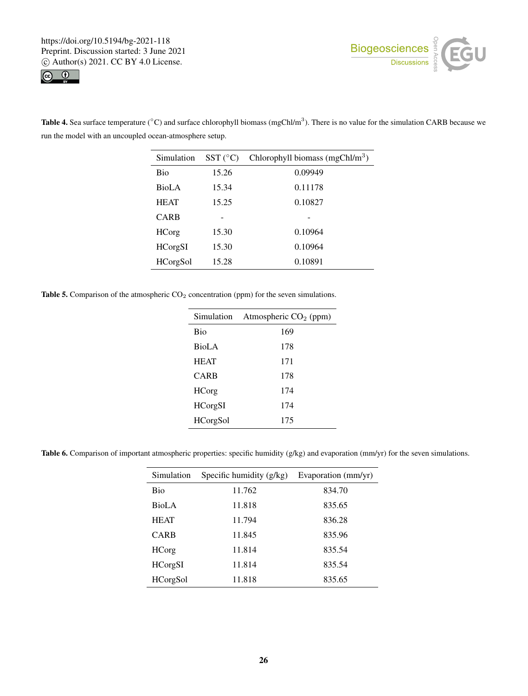



Table 4. Sea surface temperature  $(^{\circ}C)$  and surface chlorophyll biomass (mgChl/m<sup>3</sup>). There is no value for the simulation CARB because we run the model with an uncoupled ocean-atmosphere setup.

| Simulation      | $SST$ (°C) | Chlorophyll biomass $(mgChl/m3)$ |
|-----------------|------------|----------------------------------|
| Bio             | 15.26      | 0.09949                          |
| <b>BioLA</b>    | 15.34      | 0.11178                          |
| <b>HEAT</b>     | 15.25      | 0.10827                          |
| <b>CARB</b>     |            |                                  |
| <b>HCorg</b>    | 15.30      | 0.10964                          |
| <b>HCorgSI</b>  | 15.30      | 0.10964                          |
| <b>HCorgSol</b> | 15.28      | 0.10891                          |

Table 5. Comparison of the atmospheric  $CO<sub>2</sub>$  concentration (ppm) for the seven simulations.

| Simulation      | Atmospheric $CO2$ (ppm) |
|-----------------|-------------------------|
| <b>Bio</b>      | 169                     |
| BioLA           | 178                     |
| <b>HEAT</b>     | 171                     |
| <b>CARB</b>     | 178                     |
| <b>HCorg</b>    | 174                     |
| HCorgSI         | 174                     |
| <b>HCorgSol</b> | 175                     |
|                 |                         |

Table 6. Comparison of important atmospheric properties: specific humidity (g/kg) and evaporation (mm/yr) for the seven simulations.

| Simulation      | Specific humidity $(g/kg)$ | Evaporation (mm/yr) |
|-----------------|----------------------------|---------------------|
| Bio             | 11.762                     | 834.70              |
| BioLA           | 11.818                     | 835.65              |
| <b>HEAT</b>     | 11.794                     | 836.28              |
| <b>CARB</b>     | 11.845                     | 835.96              |
| <b>HCorg</b>    | 11.814                     | 835.54              |
| <b>HCorgSI</b>  | 11.814                     | 835.54              |
| <b>HCorgSol</b> | 11.818                     | 835.65              |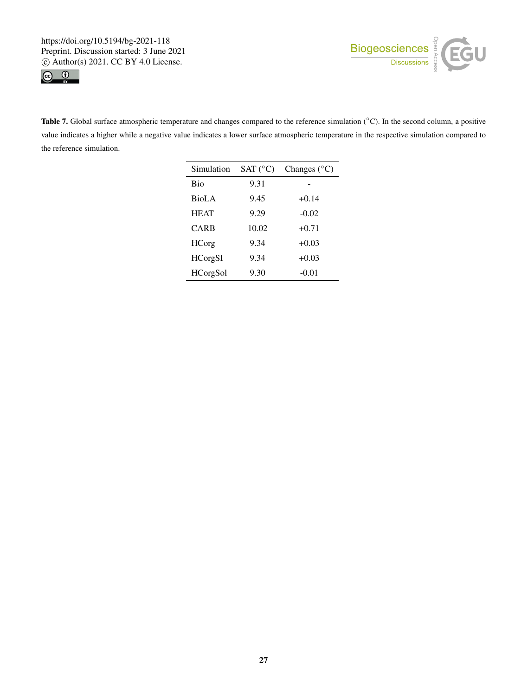



Table 7. Global surface atmospheric temperature and changes compared to the reference simulation (◦C). In the second column, a positive value indicates a higher while a negative value indicates a lower surface atmospheric temperature in the respective simulation compared to the reference simulation.

| Simulation      | SAT $(^{\circ}C)$ | Changes $(^{\circ}C)$ |
|-----------------|-------------------|-----------------------|
| Bio             | 9.31              |                       |
| BioLA           | 9.45              | $+0.14$               |
| <b>HEAT</b>     | 9.29              | $-0.02$               |
| CARB            | 10.02             | $+0.71$               |
| <b>HCorg</b>    | 9.34              | $+0.03$               |
| <b>HCorgSI</b>  | 9.34              | $+0.03$               |
| <b>HCorgSol</b> | 9.30              | -0.01                 |